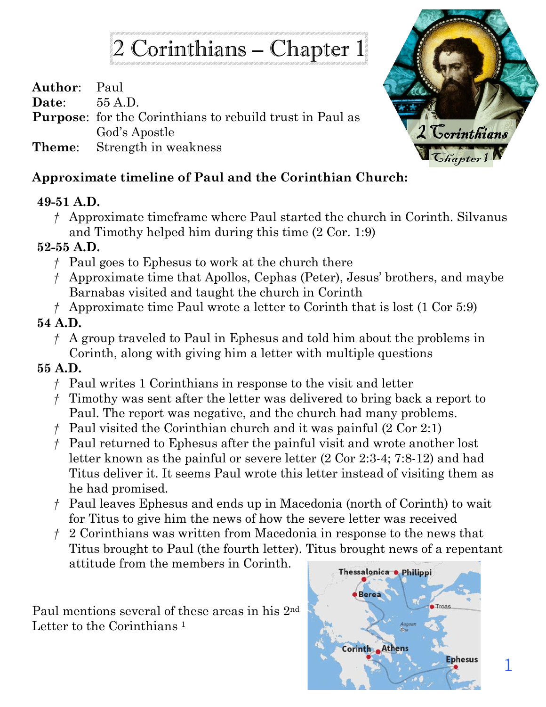# 2 Corinthians – Chapter 1

**Author**: Paul

**Date**: 55 A.D.

**Purpose**: for the Corinthians to rebuild trust in Paul as God's Apostle

**Theme**: Strength in weakness

### **Approximate timeline of Paul and the Corinthian Church:**

#### **49-51 A.D.**

*†* Approximate timeframe where Paul started the church in Corinth. Silvanus and Timothy helped him during this time (2 Cor. 1:9)

#### **52-55 A.D.**

- *†* Paul goes to Ephesus to work at the church there
- *†* Approximate time that Apollos, Cephas (Peter), Jesus' brothers, and maybe Barnabas visited and taught the church in Corinth
- *†* Approximate time Paul wrote a letter to Corinth that is lost (1 Cor 5:9)

#### **54 A.D.**

- *†* A group traveled to Paul in Ephesus and told him about the problems in Corinth, along with giving him a letter with multiple questions
- **55 A.D.** 
	- *†* Paul writes 1 Corinthians in response to the visit and letter
	- *†* Timothy was sent after the letter was delivered to bring back a report to Paul. The report was negative, and the church had many problems.
	- *†* Paul visited the Corinthian church and it was painful (2 Cor 2:1)
	- *†* Paul returned to Ephesus after the painful visit and wrote another lost letter known as the painful or severe letter (2 Cor 2:3-4; 7:8-12) and had Titus deliver it. It seems Paul wrote this letter instead of visiting them as he had promised.
	- *†* Paul leaves Ephesus and ends up in Macedonia (north of Corinth) to wait for Titus to give him the news of how the severe letter was received
	- *†* 2 Corinthians was written from Macedonia in response to the news that Titus brought to Paul (the fourth letter). Titus brought news of a repentant attitude from the members in Corinth.

Paul mentions several of these areas in his 2nd Letter to the Corinthians<sup>1</sup>



1

2 Corinthians

*<u>Ghapter</u>*